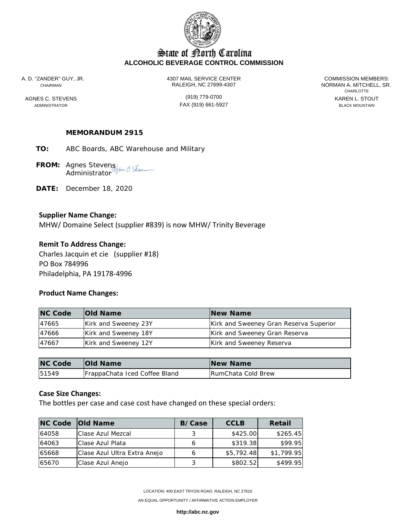

# State of Borth Carolina **ALCOHOLIC BEVERAGE CONTROL COMMISSION**

A. D. "ZANDER" GUY, JR. 4307 MAIL SERVICE CENTER COMMISSION MEMBERS: CHAIRMAN RALEIGH, NC 27699-4307 NORMAN A. MITCHELL, SR.

ADMINISTRATOR FAX (919) 661-5927 BLACK MOUNTAIN

**CHARLOTTE** AGNES C. STEVENS **AGNES CONSUMED A CONSUMING THE CONSUMING CONSUMING A CONSUMING CONSUMING CONSUMING CONSUMING CONSUMING CONSUMING CONSUMING CONSUMING CONSUMING CONSUMING CONSUMING CONSUMING CONSUMING CONSUMING CONSUMING C** 

## **MEMORANDUM 2915**

**TO:** ABC Boards, ABC Warehouse and Military

**FROM:** Agnes Stevens **Administrator** 

**DATE:** December 18, 2020

### **Supplier Name Change:**

MHW/ Domaine Select (supplier #839) is now MHW/ Trinity Beverage

### **Remit To Address Change:**

Charles Jacquin et cie (supplier #18) PO Box 784996 Philadelphia, PA 19178‐4996

#### **Product Name Changes:**

| <b>NC Code</b> | <b>Old Name</b>      | <b>New Name</b>                        |
|----------------|----------------------|----------------------------------------|
| 47665          | Kirk and Sweeney 23Y | Kirk and Sweeney Gran Reserva Superior |
| 47666          | Kirk and Sweeney 18Y | Kirk and Sweeney Gran Reserva          |
| 47667          | Kirk and Sweeney 12Y | Kirk and Sweeney Reserva               |

| <b>NC Code</b> | <b>Old Name</b>               | <b>New Name</b>    |
|----------------|-------------------------------|--------------------|
| 51549          | FrappaChata Iced Coffee Bland | RumChata Cold Brew |

### **Case Size Changes:**

The bottles per case and case cost have changed on these special orders:

|       | <b>NC Code Old Name</b>      | <b>B/Case</b> | <b>CCLB</b> | Retail     |
|-------|------------------------------|---------------|-------------|------------|
| 64058 | <b>IClase Azul Mezcal</b>    |               | \$425.00    | \$265.45   |
| 64063 | Clase Azul Plata             |               | \$319.38    | \$99.95    |
| 65668 | Clase Azul Ultra Extra Anejo |               | \$5,792.48  | \$1,799.95 |
| 65670 | Clase Azul Anejo             |               | \$802.52    | \$499.95   |

LOCATION: 400 EAST TRYON ROAD, RALEIGH, NC 27610

AN EQUAL OPPORTUNITY / AFFIRMATIVE ACTION EMPLOYER

**http://abc.nc.gov**